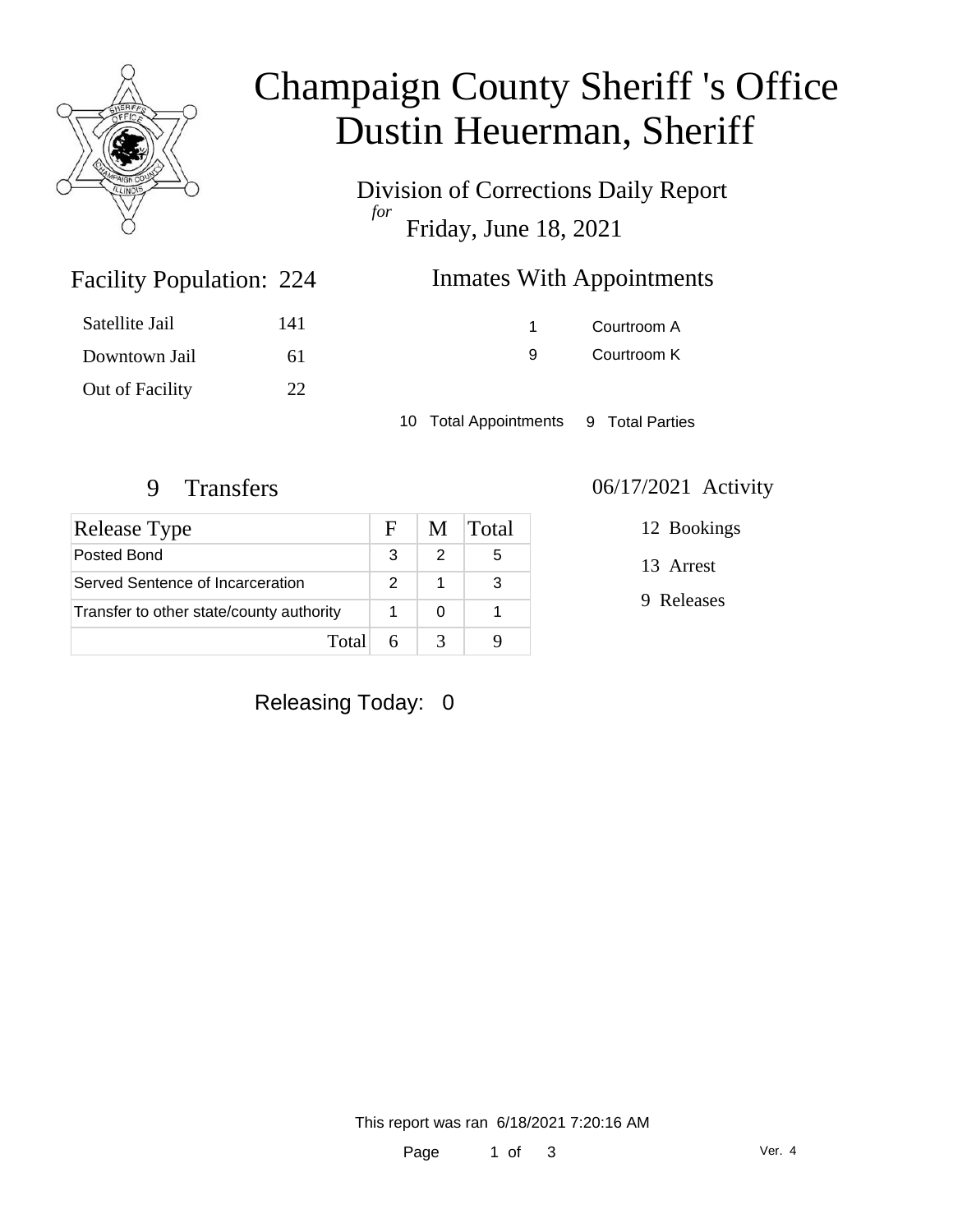

## Champaign County Sheriff 's Office Dustin Heuerman, Sheriff

Division of Corrections Daily Report *for* Friday, June 18, 2021

| <b>Inmates With Appointments</b><br>224 |  |
|-----------------------------------------|--|
|-----------------------------------------|--|

| Satellite Jail  | 141 |
|-----------------|-----|
| Downtown Jail   | 61  |
| Out of Facility | 22  |

Facility Population: 224

1 Courtroom A 9 Courtroom K

10 Total Appointments 9 Total Parties

| Release Type                             | $H^+$         | M | <b>Total</b> |
|------------------------------------------|---------------|---|--------------|
| Posted Bond                              | 3             |   | 5            |
| Served Sentence of Incarceration         | $\mathcal{P}$ |   | 3            |
| Transfer to other state/county authority |               |   |              |
| Total                                    | 6             |   |              |

### 9 Transfers 06/17/2021 Activity

12 Bookings

13 Arrest

9 Releases

### Releasing Today: 0

This report was ran 6/18/2021 7:20:16 AM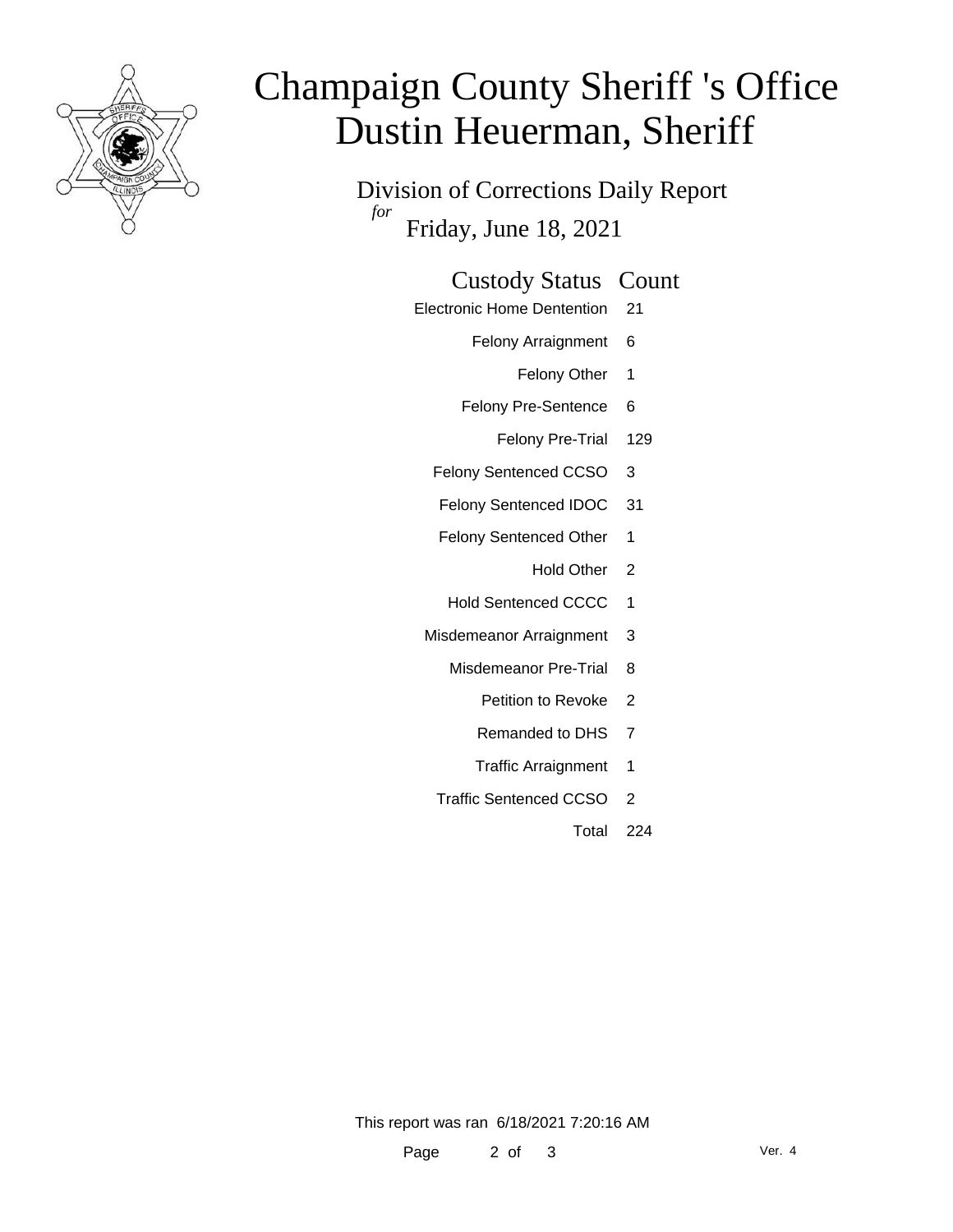

# Champaign County Sheriff 's Office Dustin Heuerman, Sheriff

Division of Corrections Daily Report *for* Friday, June 18, 2021

#### Custody Status Count

- Electronic Home Dentention 21
	- Felony Arraignment 6
		- Felony Other 1
	- Felony Pre-Sentence 6
		- Felony Pre-Trial 129
	- Felony Sentenced CCSO 3
	- Felony Sentenced IDOC 31
	- Felony Sentenced Other 1
		- Hold Other 2
	- Hold Sentenced CCCC 1
	- Misdemeanor Arraignment 3
		- Misdemeanor Pre-Trial 8
			- Petition to Revoke 2
			- Remanded to DHS 7
			- Traffic Arraignment 1
		- Traffic Sentenced CCSO 2
			- Total 224

This report was ran 6/18/2021 7:20:16 AM